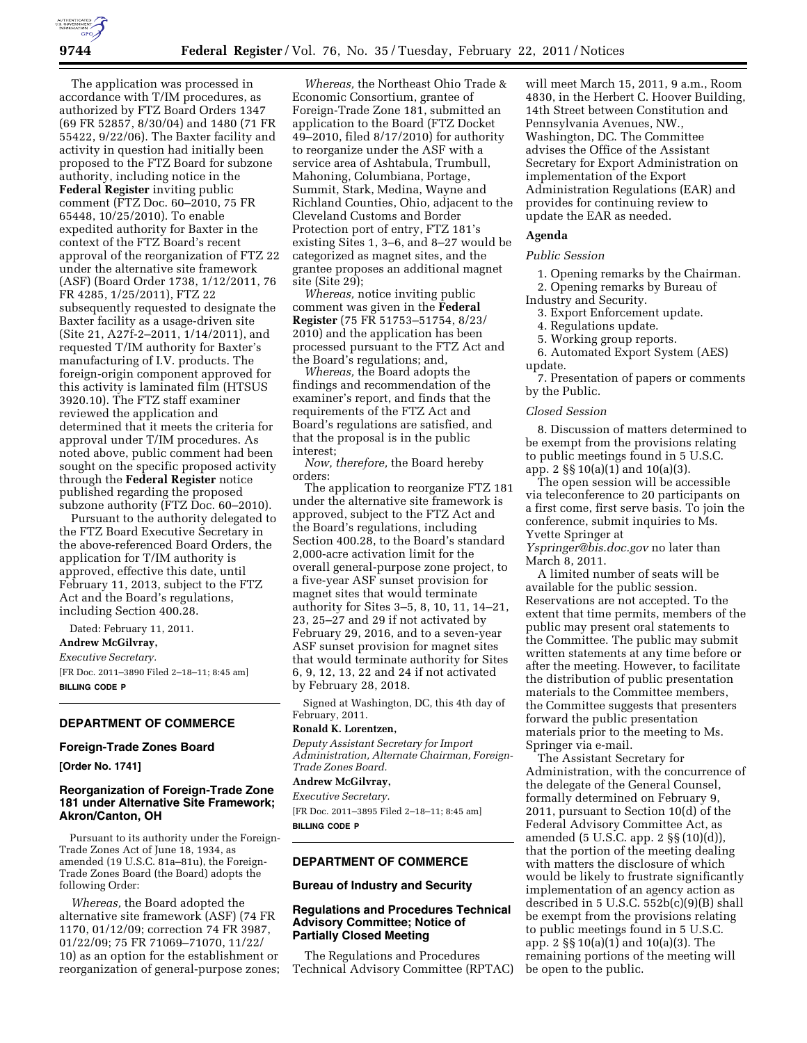The application was processed in accordance with T/IM procedures, as authorized by FTZ Board Orders 1347 (69 FR 52857, 8/30/04) and 1480 (71 FR 55422, 9/22/06). The Baxter facility and activity in question had initially been proposed to the FTZ Board for subzone authority, including notice in the **Federal Register** inviting public comment (FTZ Doc. 60–2010, 75 FR 65448, 10/25/2010). To enable expedited authority for Baxter in the context of the FTZ Board's recent approval of the reorganization of FTZ 22 under the alternative site framework (ASF) (Board Order 1738, 1/12/2011, 76 FR 4285, 1/25/2011), FTZ 22 subsequently requested to designate the Baxter facility as a usage-driven site (Site 21, A27f-2–2011, 1/14/2011), and requested T/IM authority for Baxter's manufacturing of I.V. products. The foreign-origin component approved for this activity is laminated film (HTSUS 3920.10). The FTZ staff examiner reviewed the application and determined that it meets the criteria for approval under T/IM procedures. As noted above, public comment had been sought on the specific proposed activity through the **Federal Register** notice published regarding the proposed subzone authority (FTZ Doc. 60–2010).

Pursuant to the authority delegated to the FTZ Board Executive Secretary in the above-referenced Board Orders, the application for T/IM authority is approved, effective this date, until February 11, 2013, subject to the FTZ Act and the Board's regulations, including Section 400.28.

Dated: February 11, 2011. **Andrew McGilvray,**  *Executive Secretary.*  [FR Doc. 2011–3890 Filed 2–18–11; 8:45 am] **BILLING CODE P** 

# **DEPARTMENT OF COMMERCE**

### **Foreign-Trade Zones Board**

**[Order No. 1741]** 

# **Reorganization of Foreign-Trade Zone 181 under Alternative Site Framework; Akron/Canton, OH**

Pursuant to its authority under the Foreign-Trade Zones Act of June 18, 1934, as amended (19 U.S.C. 81a–81u), the Foreign-Trade Zones Board (the Board) adopts the following Order:

*Whereas,* the Board adopted the alternative site framework (ASF) (74 FR 1170, 01/12/09; correction 74 FR 3987, 01/22/09; 75 FR 71069–71070, 11/22/ 10) as an option for the establishment or reorganization of general-purpose zones;

*Whereas,* the Northeast Ohio Trade & Economic Consortium, grantee of Foreign-Trade Zone 181, submitted an application to the Board (FTZ Docket 49–2010, filed 8/17/2010) for authority to reorganize under the ASF with a service area of Ashtabula, Trumbull, Mahoning, Columbiana, Portage, Summit, Stark, Medina, Wayne and Richland Counties, Ohio, adjacent to the Cleveland Customs and Border Protection port of entry, FTZ 181's existing Sites 1, 3–6, and 8–27 would be categorized as magnet sites, and the grantee proposes an additional magnet site (Site 29);

*Whereas,* notice inviting public comment was given in the **Federal Register** (75 FR 51753–51754, 8/23/ 2010) and the application has been processed pursuant to the FTZ Act and the Board's regulations; and,

*Whereas,* the Board adopts the findings and recommendation of the examiner's report, and finds that the requirements of the FTZ Act and Board's regulations are satisfied, and that the proposal is in the public interest;

*Now, therefore,* the Board hereby orders:

The application to reorganize FTZ 181 under the alternative site framework is approved, subject to the FTZ Act and the Board's regulations, including Section 400.28, to the Board's standard 2,000-acre activation limit for the overall general-purpose zone project, to a five-year ASF sunset provision for magnet sites that would terminate authority for Sites 3–5, 8, 10, 11, 14–21, 23, 25–27 and 29 if not activated by February 29, 2016, and to a seven-year ASF sunset provision for magnet sites that would terminate authority for Sites 6, 9, 12, 13, 22 and 24 if not activated by February 28, 2018.

Signed at Washington, DC, this 4th day of February, 2011.

## **Ronald K. Lorentzen,**

*Deputy Assistant Secretary for Import Administration, Alternate Chairman, Foreign-Trade Zones Board.* 

# **Andrew McGilvray,**

*Executive Secretary.*  [FR Doc. 2011–3895 Filed 2–18–11; 8:45 am] **BILLING CODE P** 

## **DEPARTMENT OF COMMERCE**

#### **Bureau of Industry and Security**

# **Regulations and Procedures Technical Advisory Committee; Notice of Partially Closed Meeting**

The Regulations and Procedures Technical Advisory Committee (RPTAC)

will meet March 15, 2011, 9 a.m., Room 4830, in the Herbert C. Hoover Building, 14th Street between Constitution and Pennsylvania Avenues, NW., Washington, DC. The Committee advises the Office of the Assistant Secretary for Export Administration on implementation of the Export Administration Regulations (EAR) and provides for continuing review to update the EAR as needed.

## **Agenda**

#### *Public Session*

1. Opening remarks by the Chairman. 2. Opening remarks by Bureau of

Industry and Security.

- 3. Export Enforcement update.
- 4. Regulations update.
- 5. Working group reports.

6. Automated Export System (AES) update.

7. Presentation of papers or comments by the Public.

# *Closed Session*

8. Discussion of matters determined to be exempt from the provisions relating to public meetings found in 5 U.S.C. app. 2 §§ 10(a)(1) and 10(a)(3).

The open session will be accessible via teleconference to 20 participants on a first come, first serve basis. To join the conference, submit inquiries to Ms. Yvette Springer at

*[Yspringer@bis.doc.gov](mailto:Yspringer@bis.doc.gov)* no later than March 8, 2011.

A limited number of seats will be available for the public session. Reservations are not accepted. To the extent that time permits, members of the public may present oral statements to the Committee. The public may submit written statements at any time before or after the meeting. However, to facilitate the distribution of public presentation materials to the Committee members, the Committee suggests that presenters forward the public presentation materials prior to the meeting to Ms. Springer via e-mail.

The Assistant Secretary for Administration, with the concurrence of the delegate of the General Counsel, formally determined on February 9, 2011, pursuant to Section 10(d) of the Federal Advisory Committee Act, as amended (5 U.S.C. app. 2 §§ (10)(d)), that the portion of the meeting dealing with matters the disclosure of which would be likely to frustrate significantly implementation of an agency action as described in 5 U.S.C.  $552b(c)(9)(B)$  shall be exempt from the provisions relating to public meetings found in 5 U.S.C. app. 2 §§ 10(a)(1) and 10(a)(3). The remaining portions of the meeting will be open to the public.